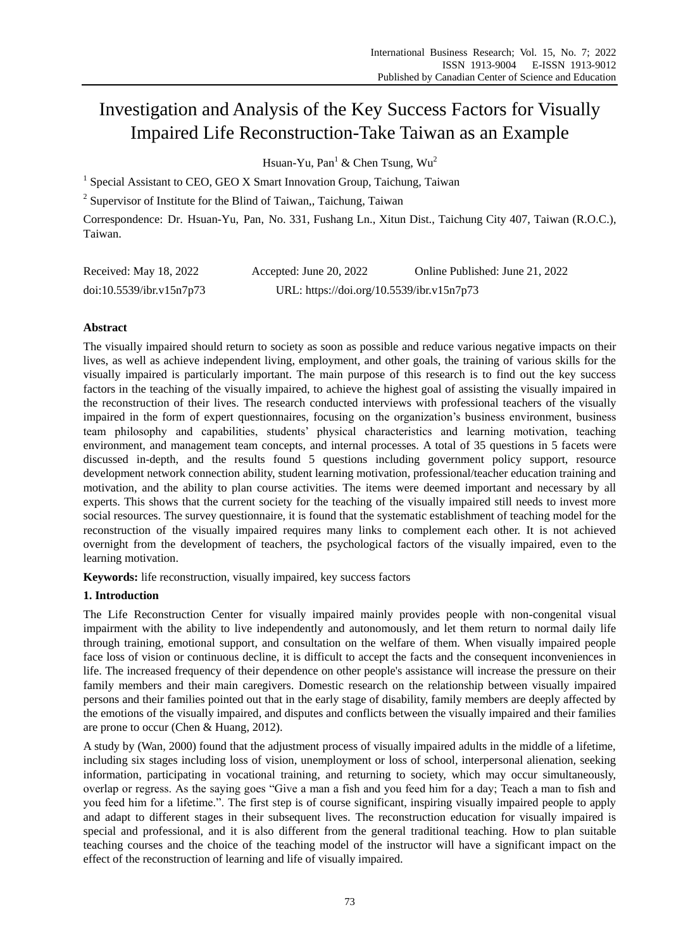# Investigation and Analysis of the Key Success Factors for Visually Impaired Life Reconstruction-Take Taiwan as an Example

Hsuan-Yu, Pan<sup>1</sup> & Chen Tsung,  $Wu^2$ 

<sup>1</sup> Special Assistant to CEO, GEO X Smart Innovation Group, Taichung, Taiwan

<sup>2</sup> Supervisor of Institute for the Blind of Taiwan,, Taichung, Taiwan

Correspondence: Dr. Hsuan-Yu, Pan, No. 331, Fushang Ln., Xitun Dist., Taichung City 407, Taiwan (R.O.C.), Taiwan.

| Received: May 18, 2022   | Accepted: June 20, 2022                   | Online Published: June 21, 2022 |
|--------------------------|-------------------------------------------|---------------------------------|
| doi:10.5539/ibr.v15n7p73 | URL: https://doi.org/10.5539/ibr.v15n7p73 |                                 |

# **Abstract**

The visually impaired should return to society as soon as possible and reduce various negative impacts on their lives, as well as achieve independent living, employment, and other goals, the training of various skills for the visually impaired is particularly important. The main purpose of this research is to find out the key success factors in the teaching of the visually impaired, to achieve the highest goal of assisting the visually impaired in the reconstruction of their lives. The research conducted interviews with professional teachers of the visually impaired in the form of expert questionnaires, focusing on the organization's business environment, business team philosophy and capabilities, students' physical characteristics and learning motivation, teaching environment, and management team concepts, and internal processes. A total of 35 questions in 5 facets were discussed in-depth, and the results found 5 questions including government policy support, resource development network connection ability, student learning motivation, professional/teacher education training and motivation, and the ability to plan course activities. The items were deemed important and necessary by all experts. This shows that the current society for the teaching of the visually impaired still needs to invest more social resources. The survey questionnaire, it is found that the systematic establishment of teaching model for the reconstruction of the visually impaired requires many links to complement each other. It is not achieved overnight from the development of teachers, the psychological factors of the visually impaired, even to the learning motivation.

**Keywords:** life reconstruction, visually impaired, key success factors

# **1. Introduction**

The Life Reconstruction Center for visually impaired mainly provides people with non-congenital visual impairment with the ability to live independently and autonomously, and let them return to normal daily life through training, emotional support, and consultation on the welfare of them. When visually impaired people face loss of vision or continuous decline, it is difficult to accept the facts and the consequent inconveniences in life. The increased frequency of their dependence on other people's assistance will increase the pressure on their family members and their main caregivers. Domestic research on the relationship between visually impaired persons and their families pointed out that in the early stage of disability, family members are deeply affected by the emotions of the visually impaired, and disputes and conflicts between the visually impaired and their families are prone to occur (Chen & Huang, 2012).

A study by (Wan, 2000) found that the adjustment process of visually impaired adults in the middle of a lifetime, including six stages including loss of vision, unemployment or loss of school, interpersonal alienation, seeking information, participating in vocational training, and returning to society, which may occur simultaneously, overlap or regress. As the saying goes "Give a man a fish and you feed him for a day; Teach a man to fish and you feed him for a lifetime.". The first step is of course significant, inspiring visually impaired people to apply and adapt to different stages in their subsequent lives. The reconstruction education for visually impaired is special and professional, and it is also different from the general traditional teaching. How to plan suitable teaching courses and the choice of the teaching model of the instructor will have a significant impact on the effect of the reconstruction of learning and life of visually impaired.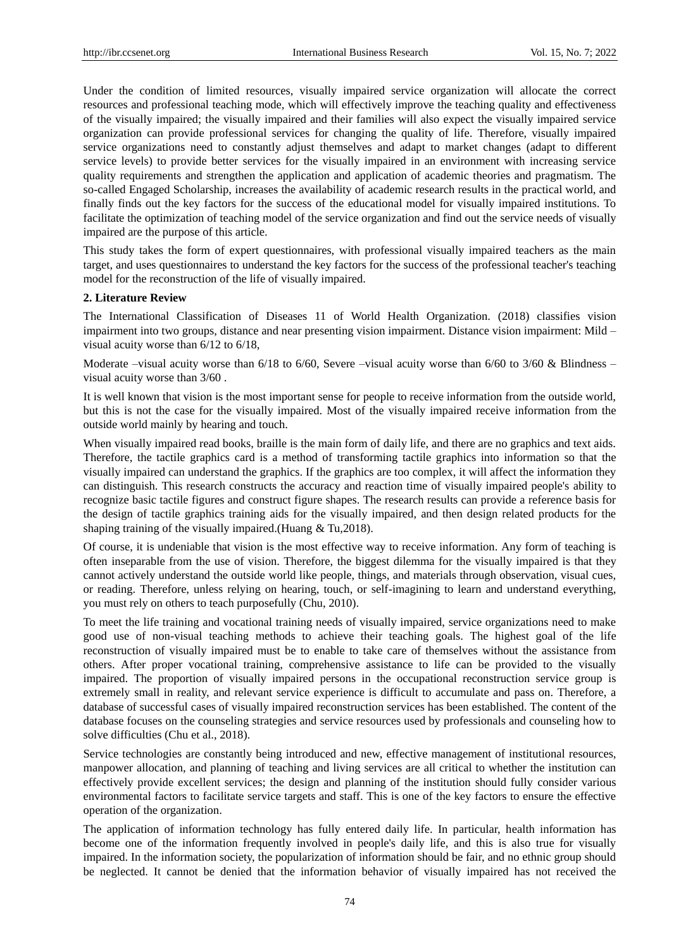Under the condition of limited resources, visually impaired service organization will allocate the correct resources and professional teaching mode, which will effectively improve the teaching quality and effectiveness of the visually impaired; the visually impaired and their families will also expect the visually impaired service organization can provide professional services for changing the quality of life. Therefore, visually impaired service organizations need to constantly adjust themselves and adapt to market changes (adapt to different service levels) to provide better services for the visually impaired in an environment with increasing service quality requirements and strengthen the application and application of academic theories and pragmatism. The so-called Engaged Scholarship, increases the availability of academic research results in the practical world, and finally finds out the key factors for the success of the educational model for visually impaired institutions. To facilitate the optimization of teaching model of the service organization and find out the service needs of visually impaired are the purpose of this article.

This study takes the form of expert questionnaires, with professional visually impaired teachers as the main target, and uses questionnaires to understand the key factors for the success of the professional teacher's teaching model for the reconstruction of the life of visually impaired.

#### **2. Literature Review**

The International Classification of Diseases 11 of World Health Organization. (2018) classifies vision impairment into two groups, distance and near presenting vision impairment. Distance vision impairment: Mild – visual acuity worse than 6/12 to 6/18,

Moderate –visual acuity worse than  $6/18$  to  $6/60$ , Severe –visual acuity worse than  $6/60$  to  $3/60$  & Blindness – visual acuity worse than 3/60 .

It is well known that vision is the most important sense for people to receive information from the outside world, but this is not the case for the visually impaired. Most of the visually impaired receive information from the outside world mainly by hearing and touch.

When visually impaired read books, braille is the main form of daily life, and there are no graphics and text aids. Therefore, the tactile graphics card is a method of transforming tactile graphics into information so that the visually impaired can understand the graphics. If the graphics are too complex, it will affect the information they can distinguish. This research constructs the accuracy and reaction time of visually impaired people's ability to recognize basic tactile figures and construct figure shapes. The research results can provide a reference basis for the design of tactile graphics training aids for the visually impaired, and then design related products for the shaping training of the visually impaired.(Huang & Tu,2018).

Of course, it is undeniable that vision is the most effective way to receive information. Any form of teaching is often inseparable from the use of vision. Therefore, the biggest dilemma for the visually impaired is that they cannot actively understand the outside world like people, things, and materials through observation, visual cues, or reading. Therefore, unless relying on hearing, touch, or self-imagining to learn and understand everything, you must rely on others to teach purposefully (Chu, 2010).

To meet the life training and vocational training needs of visually impaired, service organizations need to make good use of non-visual teaching methods to achieve their teaching goals. The highest goal of the life reconstruction of visually impaired must be to enable to take care of themselves without the assistance from others. After proper vocational training, comprehensive assistance to life can be provided to the visually impaired. The proportion of visually impaired persons in the occupational reconstruction service group is extremely small in reality, and relevant service experience is difficult to accumulate and pass on. Therefore, a database of successful cases of visually impaired reconstruction services has been established. The content of the database focuses on the counseling strategies and service resources used by professionals and counseling how to solve difficulties (Chu et al., 2018).

Service technologies are constantly being introduced and new, effective management of institutional resources, manpower allocation, and planning of teaching and living services are all critical to whether the institution can effectively provide excellent services; the design and planning of the institution should fully consider various environmental factors to facilitate service targets and staff. This is one of the key factors to ensure the effective operation of the organization.

The application of information technology has fully entered daily life. In particular, health information has become one of the information frequently involved in people's daily life, and this is also true for visually impaired. In the information society, the popularization of information should be fair, and no ethnic group should be neglected. It cannot be denied that the information behavior of visually impaired has not received the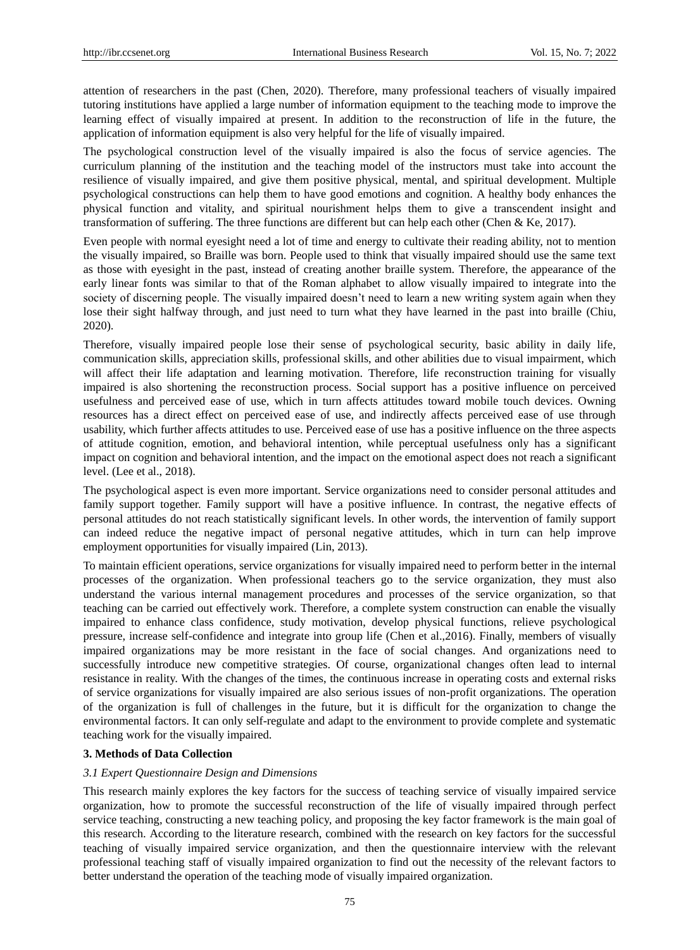attention of researchers in the past (Chen, 2020). Therefore, many professional teachers of visually impaired tutoring institutions have applied a large number of information equipment to the teaching mode to improve the learning effect of visually impaired at present. In addition to the reconstruction of life in the future, the application of information equipment is also very helpful for the life of visually impaired.

The psychological construction level of the visually impaired is also the focus of service agencies. The curriculum planning of the institution and the teaching model of the instructors must take into account the resilience of visually impaired, and give them positive physical, mental, and spiritual development. Multiple psychological constructions can help them to have good emotions and cognition. A healthy body enhances the physical function and vitality, and spiritual nourishment helps them to give a transcendent insight and transformation of suffering. The three functions are different but can help each other (Chen & Ke, 2017).

Even people with normal eyesight need a lot of time and energy to cultivate their reading ability, not to mention the visually impaired, so Braille was born. People used to think that visually impaired should use the same text as those with eyesight in the past, instead of creating another braille system. Therefore, the appearance of the early linear fonts was similar to that of the Roman alphabet to allow visually impaired to integrate into the society of discerning people. The visually impaired doesn't need to learn a new writing system again when they lose their sight halfway through, and just need to turn what they have learned in the past into braille (Chiu, 2020).

Therefore, visually impaired people lose their sense of psychological security, basic ability in daily life, communication skills, appreciation skills, professional skills, and other abilities due to visual impairment, which will affect their life adaptation and learning motivation. Therefore, life reconstruction training for visually impaired is also shortening the reconstruction process. Social support has a positive influence on perceived usefulness and perceived ease of use, which in turn affects attitudes toward mobile touch devices. Owning resources has a direct effect on perceived ease of use, and indirectly affects perceived ease of use through usability, which further affects attitudes to use. Perceived ease of use has a positive influence on the three aspects of attitude cognition, emotion, and behavioral intention, while perceptual usefulness only has a significant impact on cognition and behavioral intention, and the impact on the emotional aspect does not reach a significant level. (Lee et al., 2018).

The psychological aspect is even more important. Service organizations need to consider personal attitudes and family support together. Family support will have a positive influence. In contrast, the negative effects of personal attitudes do not reach statistically significant levels. In other words, the intervention of family support can indeed reduce the negative impact of personal negative attitudes, which in turn can help improve employment opportunities for visually impaired (Lin, 2013).

To maintain efficient operations, service organizations for visually impaired need to perform better in the internal processes of the organization. When professional teachers go to the service organization, they must also understand the various internal management procedures and processes of the service organization, so that teaching can be carried out effectively work. Therefore, a complete system construction can enable the visually impaired to enhance class confidence, study motivation, develop physical functions, relieve psychological pressure, increase self-confidence and integrate into group life (Chen et al.,2016). Finally, members of visually impaired organizations may be more resistant in the face of social changes. And organizations need to successfully introduce new competitive strategies. Of course, organizational changes often lead to internal resistance in reality. With the changes of the times, the continuous increase in operating costs and external risks of service organizations for visually impaired are also serious issues of non-profit organizations. The operation of the organization is full of challenges in the future, but it is difficult for the organization to change the environmental factors. It can only self-regulate and adapt to the environment to provide complete and systematic teaching work for the visually impaired.

#### **3. Methods of Data Collection**

#### *3.1 Expert Questionnaire Design and Dimensions*

This research mainly explores the key factors for the success of teaching service of visually impaired service organization, how to promote the successful reconstruction of the life of visually impaired through perfect service teaching, constructing a new teaching policy, and proposing the key factor framework is the main goal of this research. According to the literature research, combined with the research on key factors for the successful teaching of visually impaired service organization, and then the questionnaire interview with the relevant professional teaching staff of visually impaired organization to find out the necessity of the relevant factors to better understand the operation of the teaching mode of visually impaired organization.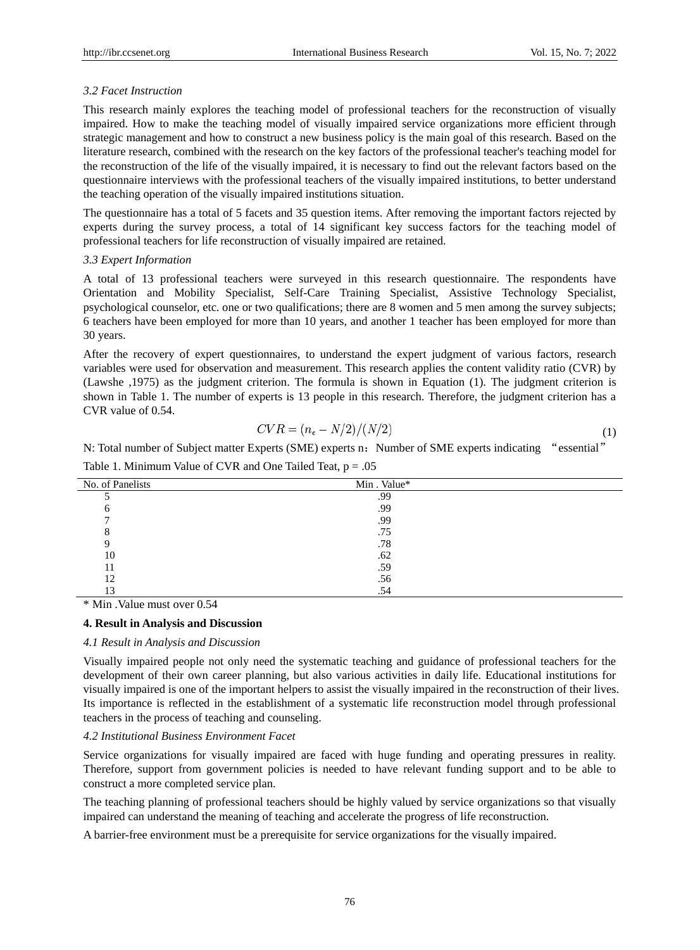## *3.2 Facet Instruction*

This research mainly explores the teaching model of professional teachers for the reconstruction of visually impaired. How to make the teaching model of visually impaired service organizations more efficient through strategic management and how to construct a new business policy is the main goal of this research. Based on the literature research, combined with the research on the key factors of the professional teacher's teaching model for the reconstruction of the life of the visually impaired, it is necessary to find out the relevant factors based on the questionnaire interviews with the professional teachers of the visually impaired institutions, to better understand the teaching operation of the visually impaired institutions situation.

The questionnaire has a total of 5 facets and 35 question items. After removing the important factors rejected by experts during the survey process, a total of 14 significant key success factors for the teaching model of professional teachers for life reconstruction of visually impaired are retained.

## *3.3 Expert Information*

A total of 13 professional teachers were surveyed in this research questionnaire. The respondents have Orientation and Mobility Specialist, Self-Care Training Specialist, Assistive Technology Specialist, psychological counselor, etc. one or two qualifications; there are 8 women and 5 men among the survey subjects; 6 teachers have been employed for more than 10 years, and another 1 teacher has been employed for more than 30 years.

After the recovery of expert questionnaires, to understand the expert judgment of various factors, research variables were used for observation and measurement. This research applies the content validity ratio (CVR) by (Lawshe ,1975) as the judgment criterion. The formula is shown in Equation (1). The judgment criterion is shown in Table 1. The number of experts is 13 people in this research. Therefore, the judgment criterion has a CVR value of 0.54.

$$
CVR = (n_e - N/2)/(N/2)
$$
 (1)

N: Total number of Subject matter Experts (SME) experts n: Number of SME experts indicating "essential"

| No. of Panelists | Min. Value* |  |
|------------------|-------------|--|
|                  | .99         |  |
|                  | .99         |  |
|                  | .99         |  |
|                  | .75         |  |
|                  | .78         |  |
| 10               | .62         |  |
|                  | .59         |  |
| 12               | .56         |  |
| 13               | .54         |  |

Table 1. Minimum Value of CVR and One Tailed Teat,  $p = .05$ 

\* Min .Value must over 0.54

#### **4. Result in Analysis and Discussion**

#### *4.1 Result in Analysis and Discussion*

Visually impaired people not only need the systematic teaching and guidance of professional teachers for the development of their own career planning, but also various activities in daily life. Educational institutions for visually impaired is one of the important helpers to assist the visually impaired in the reconstruction of their lives. Its importance is reflected in the establishment of a systematic life reconstruction model through professional teachers in the process of teaching and counseling.

## *4.2 Institutional Business Environment Facet*

Service organizations for visually impaired are faced with huge funding and operating pressures in reality. Therefore, support from government policies is needed to have relevant funding support and to be able to construct a more completed service plan.

The teaching planning of professional teachers should be highly valued by service organizations so that visually impaired can understand the meaning of teaching and accelerate the progress of life reconstruction.

A barrier-free environment must be a prerequisite for service organizations for the visually impaired.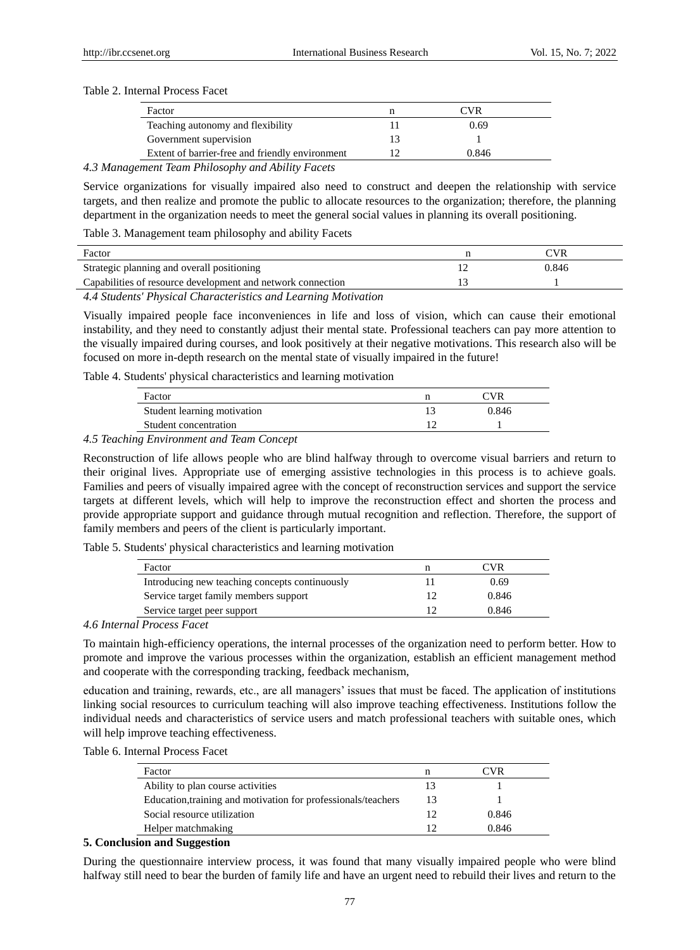#### Table 2. Internal Process Facet

| CVR   |  |
|-------|--|
| 0.69  |  |
|       |  |
| 0.846 |  |
|       |  |

#### *4.3 Management Team Philosophy and Ability Facets*

Service organizations for visually impaired also need to construct and deepen the relationship with service targets, and then realize and promote the public to allocate resources to the organization; therefore, the planning department in the organization needs to meet the general social values in planning its overall positioning.

Table 3. Management team philosophy and ability Facets

| Factor                                                      | 7VR   |
|-------------------------------------------------------------|-------|
| Strategic planning and overall positioning                  | 0.846 |
| Capabilities of resource development and network connection |       |

*4.4 Students' Physical Characteristics and Learning Motivation* 

Visually impaired people face inconveniences in life and loss of vision, which can cause their emotional instability, and they need to constantly adjust their mental state. Professional teachers can pay more attention to the visually impaired during courses, and look positively at their negative motivations. This research also will be focused on more in-depth research on the mental state of visually impaired in the future!

Table 4. Students' physical characteristics and learning motivation

| Factor                      | 7VR   |  |
|-----------------------------|-------|--|
| Student learning motivation | 0.846 |  |
| Student concentration       |       |  |

#### *4.5 Teaching Environment and Team Concept*

Reconstruction of life allows people who are blind halfway through to overcome visual barriers and return to their original lives. Appropriate use of emerging assistive technologies in this process is to achieve goals. Families and peers of visually impaired agree with the concept of reconstruction services and support the service targets at different levels, which will help to improve the reconstruction effect and shorten the process and provide appropriate support and guidance through mutual recognition and reflection. Therefore, the support of family members and peers of the client is particularly important.

Table 5. Students' physical characteristics and learning motivation

| Factor                                         | CVR)  |
|------------------------------------------------|-------|
| Introducing new teaching concepts continuously | 0.69  |
| Service target family members support          | 0.846 |
| Service target peer support                    | 0.846 |

#### *4.6 Internal Process Facet*

To maintain high-efficiency operations, the internal processes of the organization need to perform better. How to promote and improve the various processes within the organization, establish an efficient management method and cooperate with the corresponding tracking, feedback mechanism,

education and training, rewards, etc., are all managers' issues that must be faced. The application of institutions linking social resources to curriculum teaching will also improve teaching effectiveness. Institutions follow the individual needs and characteristics of service users and match professional teachers with suitable ones, which will help improve teaching effectiveness.

Table 6. Internal Process Facet

| Factor                                                        |    | ∩VR   |
|---------------------------------------------------------------|----|-------|
| Ability to plan course activities                             |    |       |
| Education, training and motivation for professionals/teachers | 13 |       |
| Social resource utilization                                   |    | 0.846 |
| Helper matchmaking                                            |    | 0.846 |

#### **5. Conclusion and Suggestion**

During the questionnaire interview process, it was found that many visually impaired people who were blind halfway still need to bear the burden of family life and have an urgent need to rebuild their lives and return to the